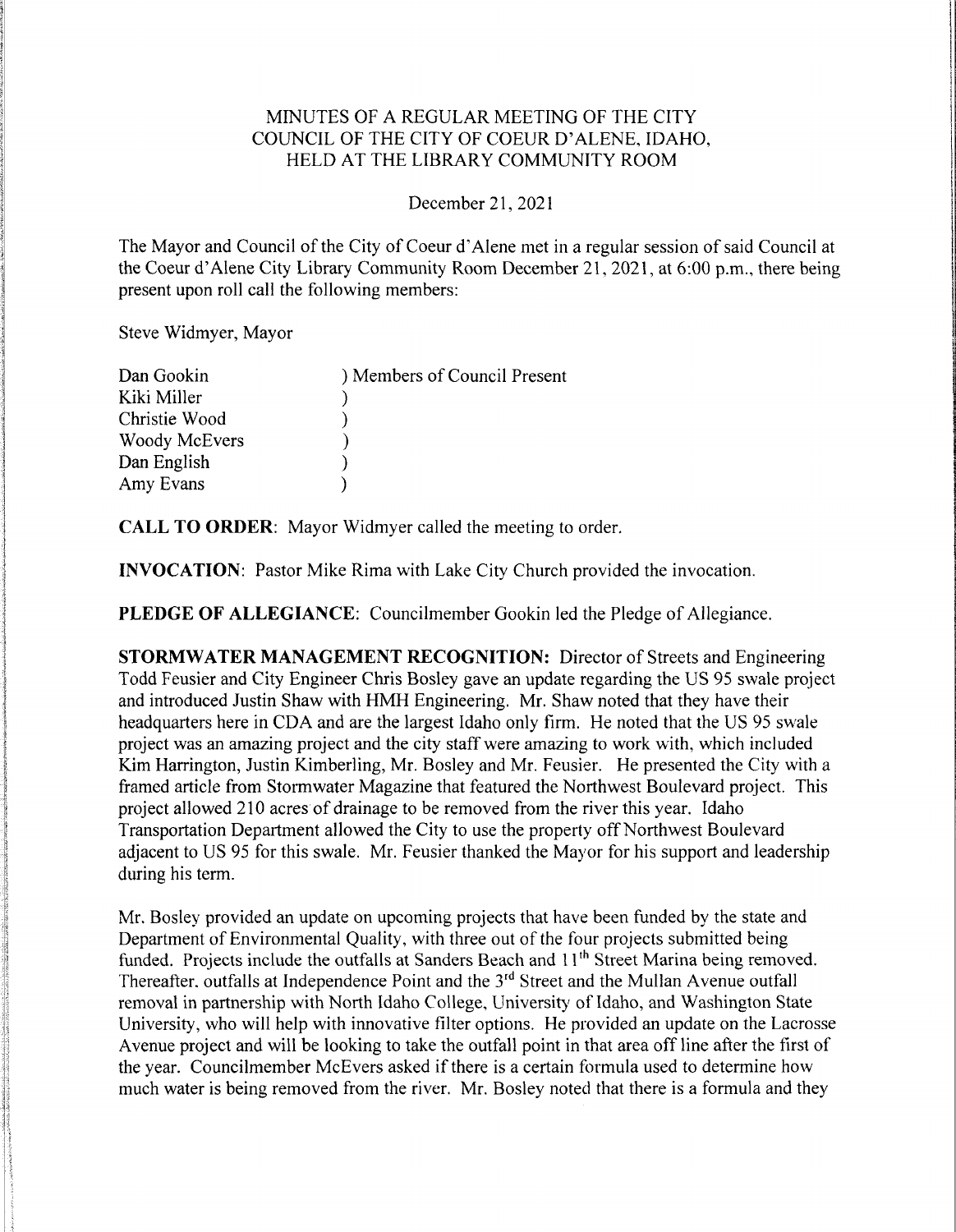### MINUTES OF A REGULAR MEETING OF THE CITY COUNCIL OF THE CITY OF COEUR D'ALENE, IDAHO, HELD AT THE LIBRARY COMMUNITY ROOM

#### December21,2021

The Mayor and Council of the City of Coeur d'Alene met in a regular session of said Council at the Coeur d'Alene City Library Community Room December 21, 2021, at 6:00 p.m., there being present upon roll call the following members:

Steve Widmyer, Mayor

| Dan Gookin    | ) Members of Council Present |
|---------------|------------------------------|
| Kiki Miller   |                              |
| Christie Wood |                              |
| Woody McEvers |                              |
| Dan English   |                              |
| Amy Evans     |                              |

CALL TO ORDER: Mayor Widmyer called the meeting to order.

**INVOCATION:** Pastor Mike Rima with Lake City Church provided the invocation.

PLEDGE OF ALLEGIANCE: Councilmember Gookin led the Pledge of Allegiance.

STORMWATER MANAGEMENT RECOGNITION: Director of Streets and Engineering Todd Feusier and City Engineer Chris Bosley gave an update regarding the US 95 swale project and introduced Justin Shaw with HMH Engineering. Mr. Shaw noted that they have their headquarters here in CDA and are the largest Idaho only firm. He noted that the US 95 swale project was an amazing project and the city staff were amazing to work with, which included Kim Harrington, Justin Kimberling, Mr. Bosley and Mr. Feusier. He presented the City with a framed article from Stormwater Magazine that featured the Northwest Boulevard project. This project allowed 210 acres of drainage to be removed from the river this year. Idaho Transportation Department allowed the City to use the property off Northwest Boulevard adjacent to US 95 for this swale. Mr. Feusier thanked the Mayor for his support and leadership during his term.

Mr. Bosley provided an update on upcoming projects that have been funded by the state and Department of Environmental Quality, with three out of the four projects submitted being funded. Projects include the outfalls at Sanders Beach and 11<sup>th</sup> Street Marina being removed. Thereafter, outfalls at Independence Point and the  $3<sup>rd</sup>$  Street and the Mullan Avenue outfall removal in partnership with North Idaho College, University of Idaho, and Washington State University, who will help with innovative filter options. He provided an update on the Lacrosse Avenue project and will be looking to take the outfall point in that area off line after the first of the year. Councilmember McEvers asked if there is a certain formula used to determine how much water is being removed from the river. Mr. Bosley noted that there is a formula and they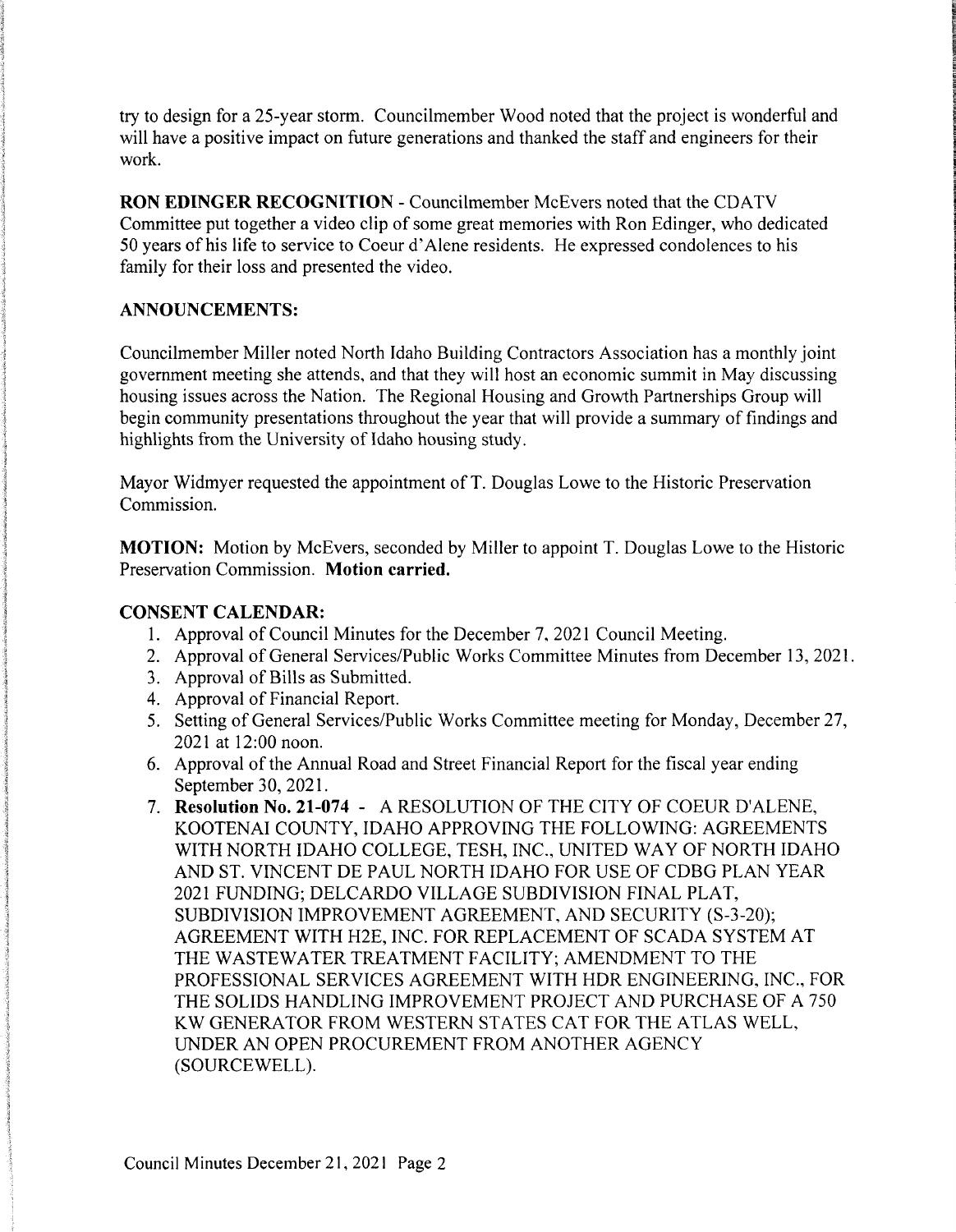try to design for a 25-year storm. Councilmember Wood noted that the project is wonderful and will have a positive impact on future generations and thanked the staff and engineers for their work.

RON EDINGER RECOGNITION - Councilmember McEvers noted that the CDATV Committee put together a video clip of some great memories with Ron Edinger, who dedicated 50 years of his life to service to Coeur d'Alene residents. He expressed condolences to his family for their loss and presented the video.

### ANNOUNCEMENTS:

Councilmember Miller noted North Idaho Building Contractors Association has a monthly joint government meeting she attends, and that they will host an economic summit in May discussing housing issues across the Nation. The Regional Housing and Growth Partnerships Group will begin community presentations throughout the year that will provide a summary of findings and highlights from the University of Idaho housing study.

Mayor Widmyer requested the appointment of T. Douglas Lowe to the Historic Preservation Commission.

MOTION: Motion by McEvers, seconded by Miller to appoint T. Douglas Lowe to the Historic Preservation Commission. Motion carried.

## **CONSENT CALENDAR:**

- 1. Approval of Council Minutes for the December 7, 2021 Council Meeting.
- 2. Approval of General Services/Public Works Committee Minutes from December 13, 2021.
- 3. Approval of Bills as Submitted.
- 4. Approval of Financial Report.
- 5. Setting of General Services/Public Works Committee meeting for Monday, December 27, 2021 at 12:00 noon.
- 6. Approval of the Annual Road and Street Financial Report for the fiscal year ending September 30, 2021.
- 7. Resolution No. 21-074 A RESOLUTION OF THE CITY OF COEUR D'ALENE, KOOTENAI COUNTY, IDAHO APPROVINGTHE FOLLOWING: AGREEMENTS WITH NORTH IDAHO COLLEGE, TESH, INC., UNITED WAY OF NORTH IDAHO AND ST. VINCENT DE PAUL NORTH IDAHO FOR USE OF CDBG PLAN YEAR 2021FUNDING; DELCARDO VILLAGE SUBDIVISION FINAL PLAT, SUBDIVISION IMPROVEMENT AGREEMENT, AND SECURITY (S-3-20); AGREEMENT WITH H2E, INC. FOR REPLACEMENT OF SCADA SYSTEM AT THE WASTEWATER TREATMENT FACILITY; AMENDMENT TO THE PROFESSIONAL SERVICES AGREEMENT WITH HDR ENGINEERING, INC., FOR THE SOLIDS HANDLING IMPROVEMENT PROJECT AND PURCHASE OF A 750 KW GENERATOR FROM WESTERN STATES CAT FOR THE ATLAS WELL, UNDER AN OPEN PROCUREMENT FROM ANOTHER AGENCY (SOURCEWELL).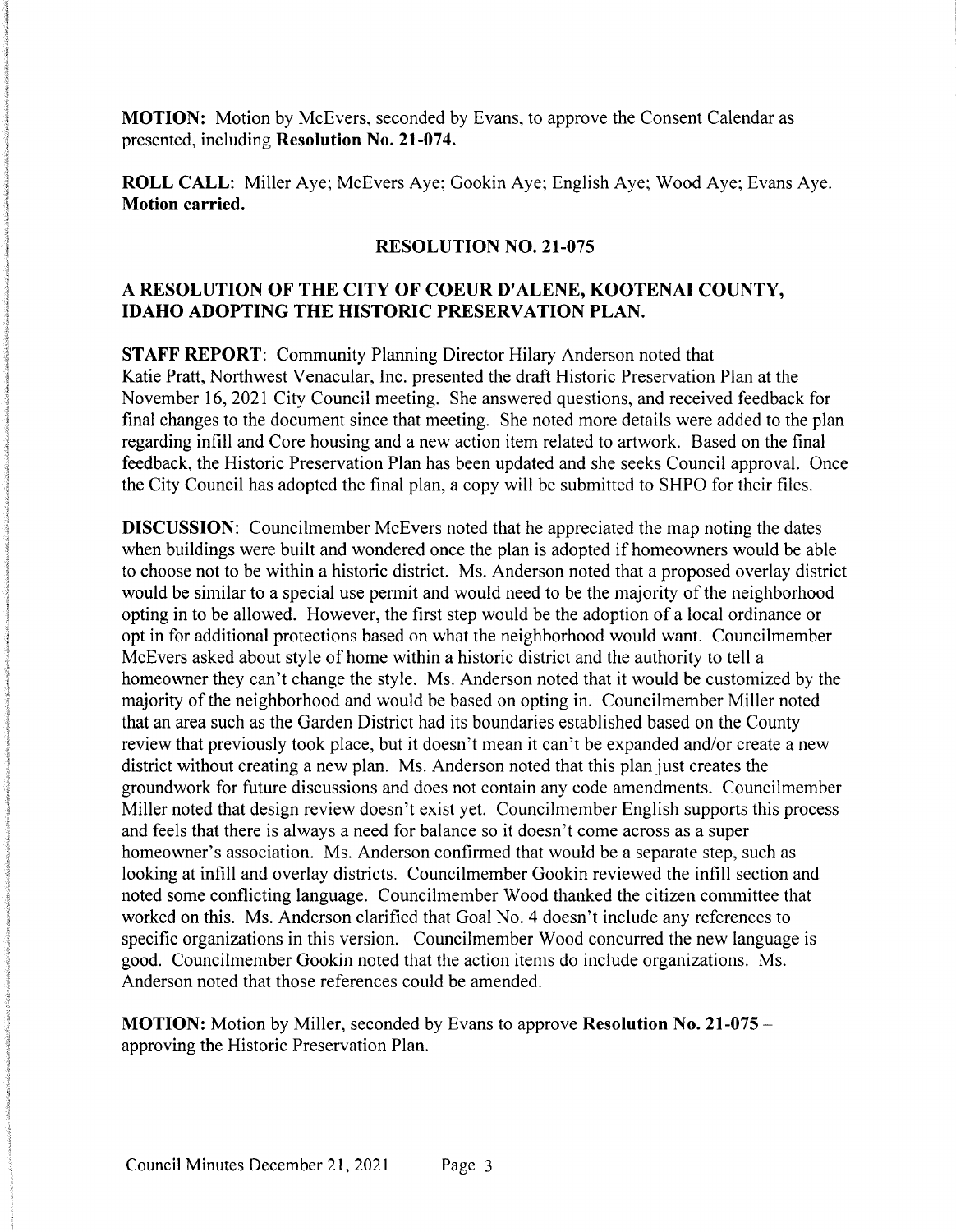**MOTION:** Motion by McEvers, seconded by Evans, to approve the Consent Calendar as presented, including Resolution No. 21-074.

ROLL CALL: Miller Aye: McEvers Aye: Gookin Aye; English Aye: Wood Aye; Evans Aye. Motion carried.

#### RESOLUTION NO. 21-075

## A RESOLUTION OF THE CITY OF COEUR D'ALENE, KOOTENAI COUNTY, IDAHO ADOPTING THE HISTORIC PRESERVATION PLAN.

STAFF REPORT: Community Planning Director Hilary Anderson noted that Katie Pratt, Northwest Venacular, Inc. presented the draft Historic Preservation Plan at the November 16, 2021 City Council meeting. She answered questions, and received feedback for final changes to the document since that meeting. She noted more details were added to the plan regarding infill and Core housing and a new action item related to artwork. Based on the final feedback, the Historic Preservation Plan has been updated and she seeks Council approval. Once the City Council has adopted the final plan, a copy will be submitted to SHPO for their files.

**DISCUSSION:** Councilmember McEvers noted that he appreciated the map noting the dates when buildings were built and wondered once the plan is adopted if homeowners would be able to choose not to be within a historic district. Ms. Anderson noted that a proposed overlay district would be similar to a special use permit and would need to be the majority of the neighborhood opting in to be allowed. However, the first step would be the adoption of a local ordinance or opt in for additional protections based on what the neighborhood would want. Councilmember McEvers asked about style of home within a historic district and the authority to tell a homeowner they can't change the style. Ms. Anderson noted that it would be customized by the majority of the neighborhood and would be based on opting in. Councilmember Miller noted that an area such as the Garden District had its boundaries established based on the County review that previously took place, but it doesn't mean it can't be expanded and/or create a new district without creating a new plan. Ms. Anderson noted that this plan just creates the groundwork for future discussions and does not contain any code amendments. Councilmember Miller noted that design review doesn't exist yet. Councilmember English supports this process and feels that there is always a need for balance so it doesn't come across as a super homeowner's association. Ms. Anderson confirmed that would be a separate step, such as looking at infill and overlay districts. Councilmember Gookin reviewed the infill section and noted some conflicting language. Councilmember Wood thanked the citizen committee that worked on this. Ms. Anderson clarified that Goal No. 4 doesn't include any references to specific organizations in this version. Councilmember Wood concurred the new language is good. Councilmember Gookin noted that the action items do include organizations. Ms. Anderson noted that those references could be amended.

MOTION: Motion by Miller, seconded by Evans to approve Resolution No. 21-075 – approving the Historic Preservation Plan.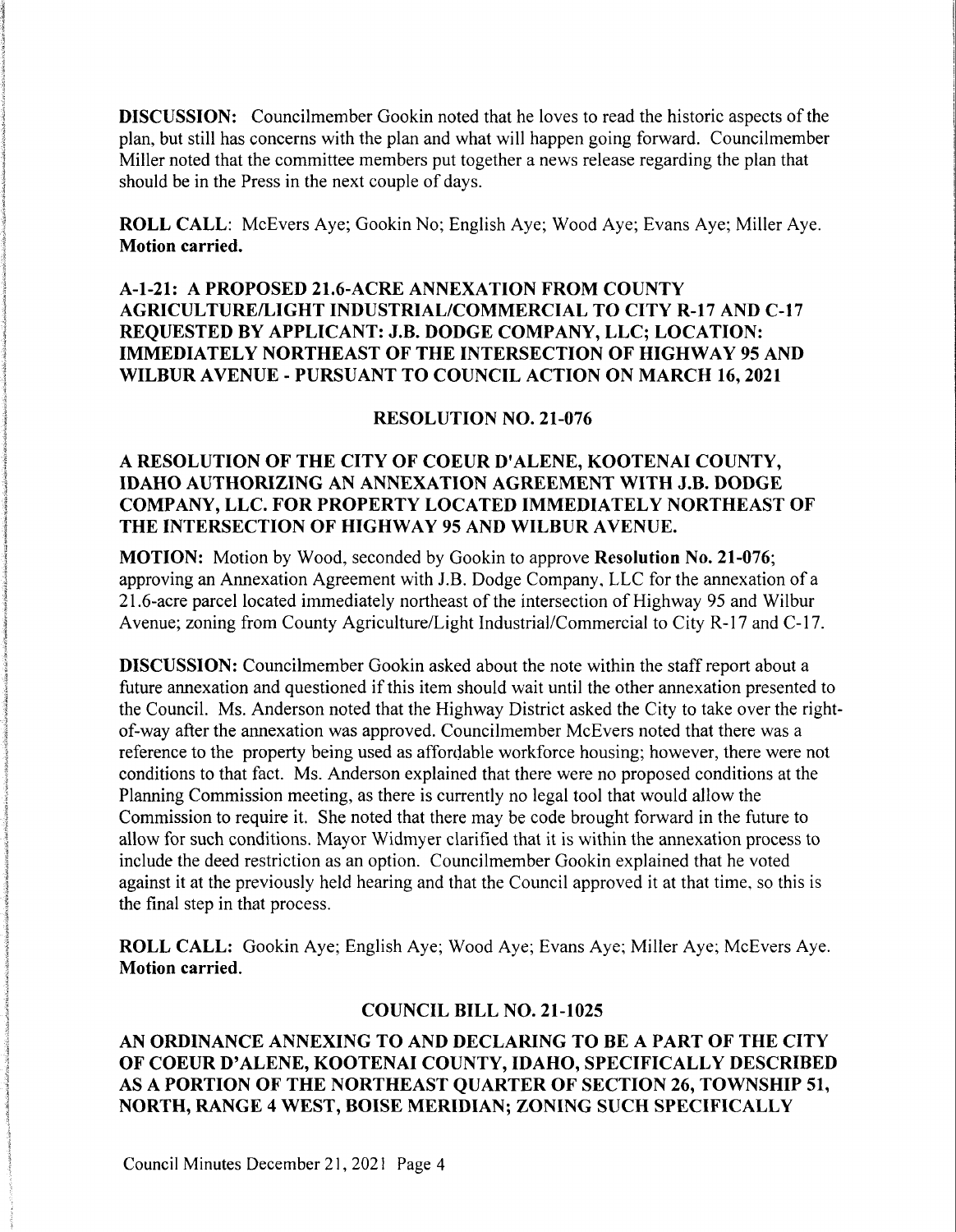**DISCUSSION:** Councilmember Gookin noted that he loves to read the historic aspects of the plan, but still has concerns with the plan and what will happen going forward. Councilmember Miller noted that the committee members put together a news release regarding the plan that should be in the Press in the next couple of days.

ROLL CALL: McEvers Aye; Gookin No; English Aye; Wood Aye; Evans Aye; Miller Aye. Motion carried.

# A-1-21: A PROPOSED 21.6-ACRE ANNEXATION FROM COUNTY AGRICULTURE/LIGHT INDUSTRIAL/COMMERCIAL TO CITY R—17AND C-17 REQUESTED BY APPLICANT: J.B. DODGE COMPANY, LLC; LOCATION: IMMEDIATELY NORTHEAST OF THE INTERSECTION OF HIGHWAY 95AND WILBUR AVENUE - PURSUANT TO COUNCIL ACTION ON MARCH 16,2021

#### RESOLUTION NO. 21-076

### A RESOLUTION OF THE CITY OF COEUR D'ALENE, KOOTENAI COUNTY, IDAHO AUTHORIZING AN ANNEXATION AGREEMENT WITH J.B. DODGE COMPANY, LLC. FOR PROPERTY LOCATED IMMEDIATELY NORTHEAST OF THE INTERSECTION OF HIGHWAY 95AND WILBUR AVENUE.

MOTION: Motion by Wood, seconded by Gookin to approve Resolution No. 21-076; approving an Annexation Agreement with J.B. Dodge Company, LLC for the annexation of a 21.6-acre parcel located immediately northeast of the intersection of Highway 95 and Wilbur Avenue; zoning from County Agriculture/Light Industrial/Commercial to City R-17 and C-17.

**DISCUSSION:** Councilmember Gookin asked about the note within the staff report about a future annexation and questioned if this item should wait until the other annexation presented to the Council. Ms. Anderson noted that the Highway District asked the City to take over the rightof-way after the annexation was approved. Councilmember McEvers noted that there was a reference to the property being used as affordable workforce housing; however, there were not conditions to that fact. Ms. Anderson explained that there were no proposed conditions at the Planning Commission meeting, as there is currently no legal tool that would allow the Commission to require it. She noted that there may be code brought forward in the future to allow for such conditions. Mayor Widmyer clarified that it is within the annexation process to include the deed restriction as an option. Councilmember Gookin explained that he voted against it at the previously held hearing and that the Council approved it at that time, so this is the final step in that process.

ROLL CALL: Gookin Aye; English Aye; Wood Aye; Evans Aye; Miller Aye; McEvers Aye. Motion carried.

#### COUNCIL BILL NO. 21-1025

AN ORDINANCE ANNEXING TO AND DECLARING TO BE A PART OF THE CITY OF COEUR D'ALENE, KOOTENAI COUNTY, IDAHO, SPECIFICALLY DESCRIBED ASA PORTION OF THE NORTHEAST QUARTER OF SECTION 26,TOWNSHIP 51, NORTH, RANGE 4 WEST, BOISE MERIDIAN; ZONING SUCH SPECIFICALLY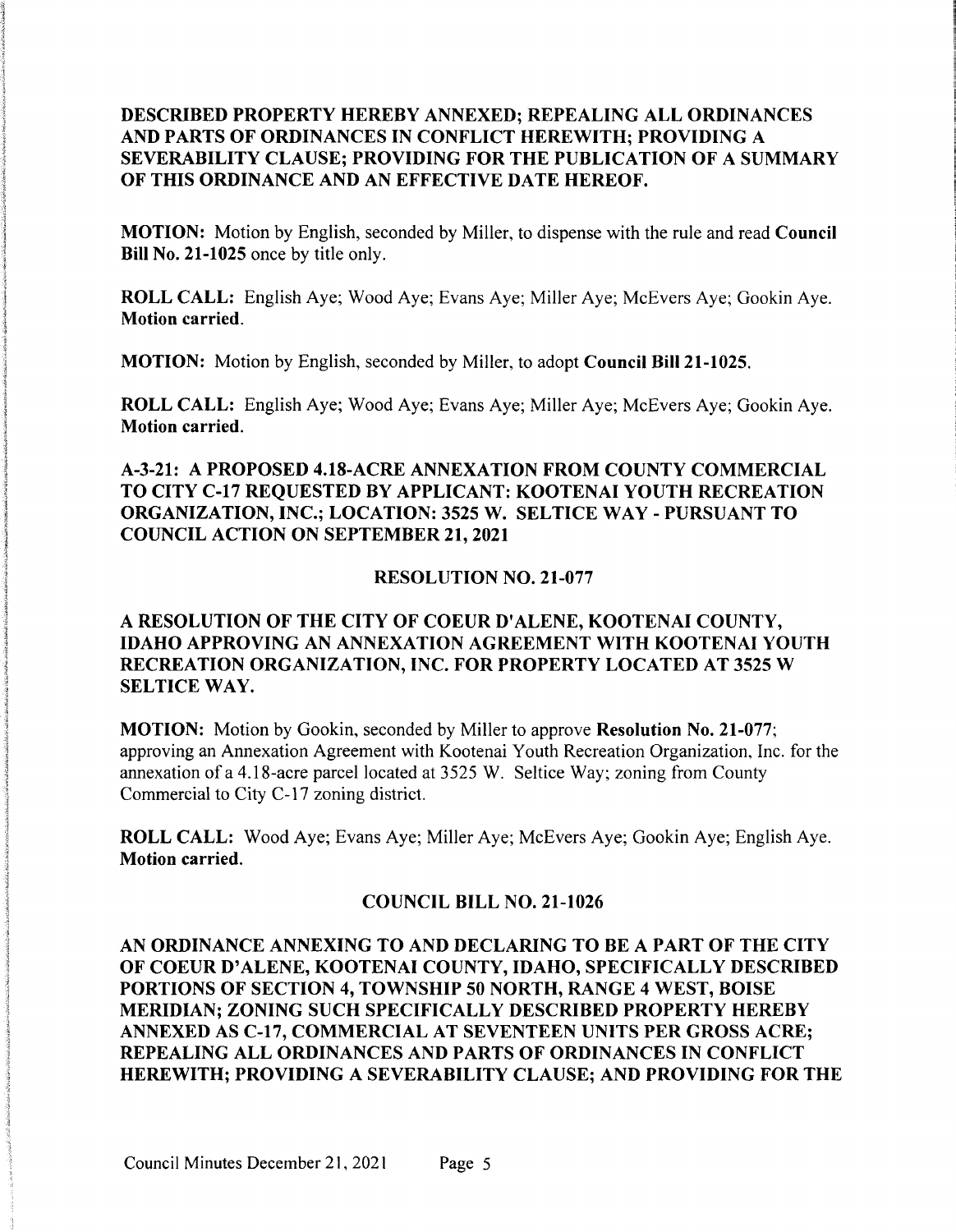## DESCRIBED PROPERTY HEREBY ANNEXED; REPEALING ALL ORDINANCES AND PARTS OF ORDINANCES IN CONFLICT HEREWITH; PROVIDING A SEVERABILITY CLAUSE; PROVIDING FOR THE PUBLICATION OF A SUMMARY OF THIS ORDINANCE AND AN EFFECTIVE DATE HEREOF.

MOTION: Motion by English, seconded by Miller, to dispense with the rule and read Council Bill No. 21-1025 once by title only.

ROLL CALL: English Aye; Wood Aye; Evans Aye; Miller Aye; McEvers Aye; Gookin Aye. Motion carried.

MOTION: Motion by English, seconded by Miller, to adopt Council Bill 21-1025.

ROLL CALL: English Aye; Wood Aye; Evans Aye; Miller Aye; McEvers Aye; Gookin Aye. Motion carried.

## A-3-21: A PROPOSED 4.18-ACRE ANNEXATION FROM COUNTY COMMERCIAL TO CITY C-17 REQUESTED BY APPLICANT: KOOTENAI YOUTH RECREATION ORGANIZATION, INC.; LOCATION: 3525W. SELTICE WAY - PURSUANT TO COUNCIL ACTION ON SEPTEMBER 21,2021

#### RESOLUTION NO. 21-077

## A RESOLUTION OF THE CITY OF COEUR D'ALENE, KOOTENAI COUNTY, IDAHO APPROVING AN ANNEXATION AGREEMENT WITH KOOTENAI YOUTH RECREATION ORGANIZATION, INC. FOR PROPERTY LOCATED AT 3525W SELTICE WAY.

MOTION: Motion by Gookin, seconded by Miller to approve Resolution No. 21-077; approving an Annexation Agreement with Kootenai Youth Recreation Organization, Inc. for the annexation of a 4.18-acre parcel located at 3525 W. Seltice Way; zoning from County Commercial to City C-17 zoning district.

ROLL CALL: Wood Aye; Evans Aye; Miller Aye; McEvers Aye; Gookin Aye; English Aye. Motion carried.

#### COUNCIL BILL NO. 21-1026

AN ORDINANCE ANNEXING TO AND DECLARING TO BE A PART OF THE CITY OF COEUR D'ALENE, KOOTENAI COUNTY, IDAHO, SPECIFICALLY DESCRIBED PORTIONS OF SECTION 4, TOWNSHIP 50 NORTH, RANGE 4 WEST, BOISE MERIDIAN; ZONING SUCH SPECIFICALLY DESCRIBED PROPERTY HEREBY ANNEXED AS C-17,COMMERCIAL AT SEVENTEEN UNITS PER GROSSACRE; REPEALING ALL ORDINANCES AND PARTS OF ORDINANCES IN CONFLICT HEREWITH; PROVIDING A SEVERABILITY CLAUSE; AND PROVIDING FOR THE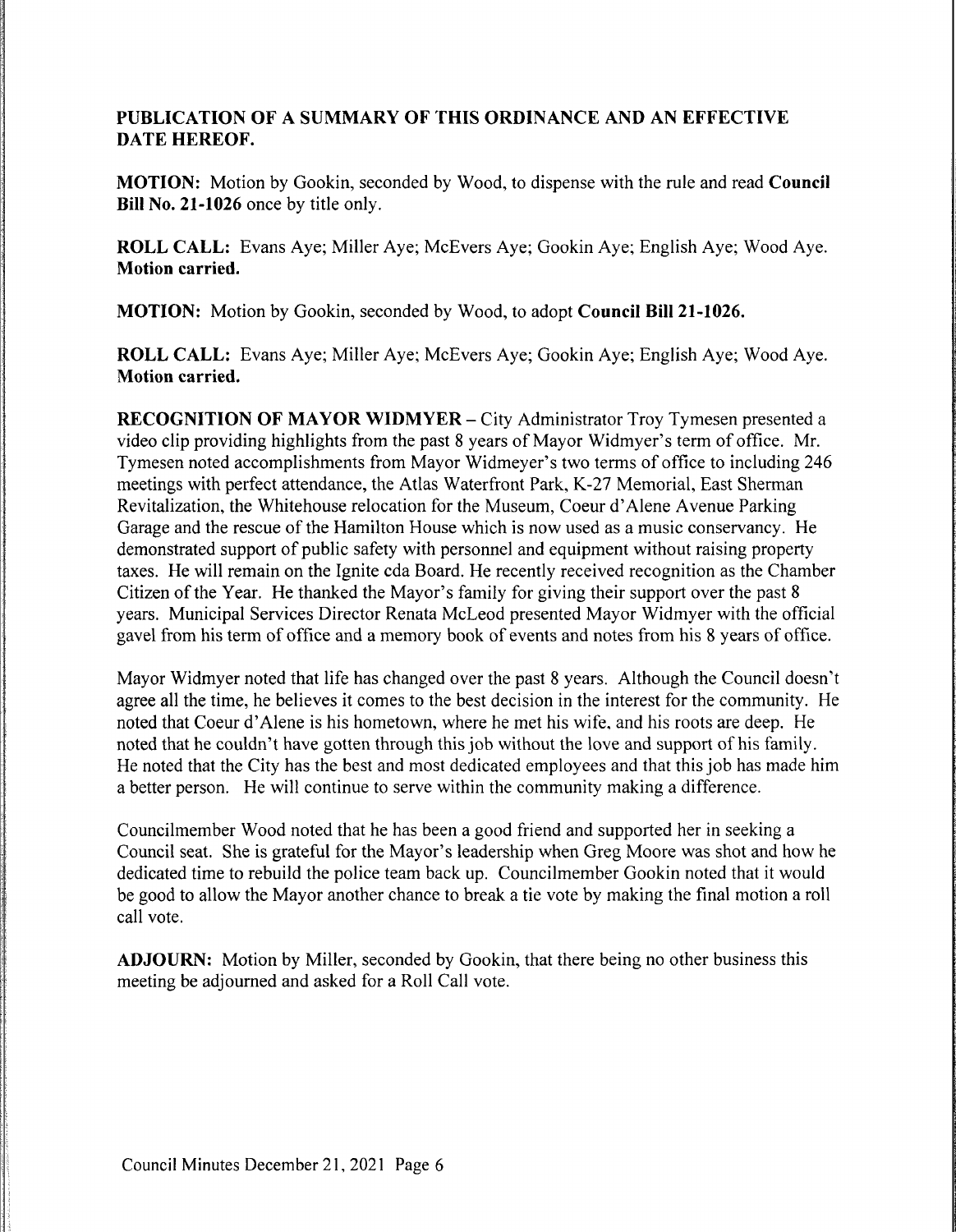### PUBLICATION OF A SUMMARY OF THIS ORDINANCE AND AN EFFECTIVE DATE HEREOF.

MOTION: Motion by Gookin, seconded by Wood, to dispense with the rule and read Council Bill No. 21-1026 once by title only.

ROLL CALL: Evans Aye; Miller Aye; McEvers Aye; Gookin Aye; English Aye; Wood Aye. Motion carried.

MOTION: Motion by Gookin, seconded by Wood, to adopt Council Bill 21-1026.

ROLL CALL: Evans Aye; Miller Aye; McEvers Aye; Gookin Aye; English Aye; Wood Aye. Motion carried.

RECOGNITION OF MAYOR WIDMYER – City Administrator Troy Tymesen presented a video clip providing highlights from the past 8 years of Mayor Widmyer's term of office. Mr. Tymesen noted accomplishments from Mayor Widmeyer's two terms of office to including 246 meetings with perfect attendance, the Atlas Waterfront Park, K-27 Memorial, East Sherman Revitalization, the Whitehouse relocation for the Museum, Coeur d'Alene Avenue Parking Garage and the rescue of the Hamilton House which is now used as a music conservancy. He demonstrated support of public safety with personnel and equipment without raising property taxes. He will remain on the Ignite cda Board. He recently received recognition as the Chamber Citizen of the Year. He thanked the Mayor's family for giving their support over the past 8 years. Municipal Services Director Renata McLeod presented Mayor Widmyer with the official gavel from his term of office and a memory book of events and notes from his 8 years of office.

Mayor Widmyer noted that life has changed over the past 8 years. Although the Council doesn't agree all the time, he believes it comes to the best decision in the interest for the community. He noted that Coeur d'Alene is his hometown, where he met his wife, and his roots are deep. He noted that he couldn't have gotten through this job without the love and support of his family. He noted that the City has the best and most dedicated employees and that this job has made him a better person. He will continue to serve within the community making a difference.

Councilmember Wood noted that he has been a good friend and supported her in seeking a Council seat. She is grateful for the Mayor's leadership when Greg Moore was shot and how he dedicated time to rebuild the police team back up. Councilmember Gookin noted that it would be good to allow the Mayor another chance to break a tie vote by making the final motion a roll call vote.

ADJOURN: Motion by Miller, seconded by Gookin, that there being no other business this meeting be adjourned and asked for a Roll Call vote.